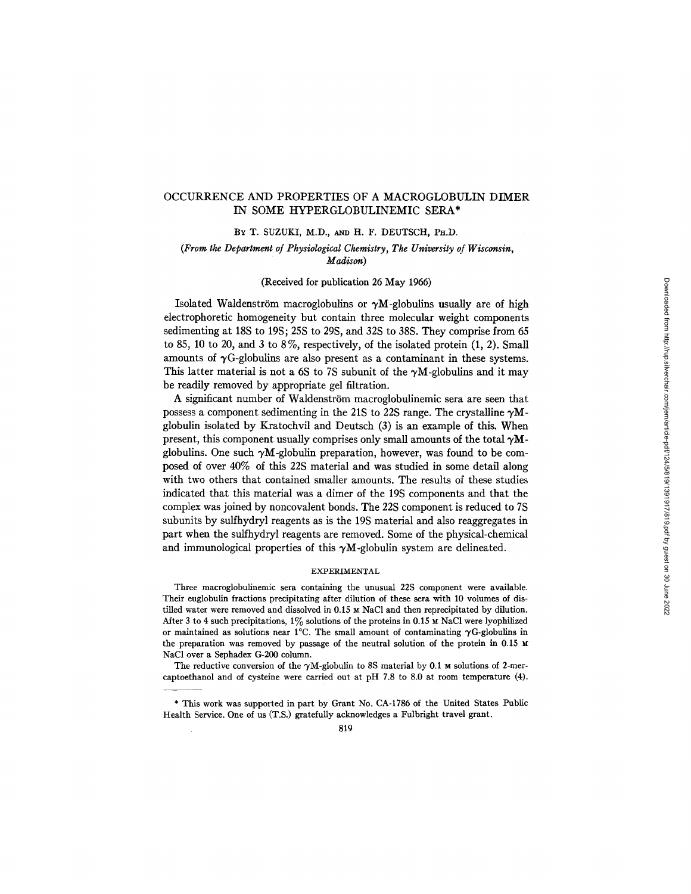# OCCURRENCE AND PROPERTIES OF A MACROGLOBULIN DIMER IN SOME HYPERGLOBULINEMIC SERA\*

## BY T. SUZUKI, M.D., AND H. F. DEUTSCH, PH.D.

# *(From the Department of Physiological Chemistry, The University of Wisconsin, Madison)*

#### (Received for publication 26 May 1966)

Isolated Waldenström macroglobulins or  $\gamma M$ -globulins usually are of high electrophoretic homogeneity but contain three molecular weight components sedimenting at 18S to 19S; 25S to 29S, and 32S to 38S. They comprise from 65 to 85, 10 to 20, and 3 to 8%, respectively, of the isolated protein  $(1, 2)$ . Small amounts of  $\gamma G$ -globulins are also present as a contaminant in these systems. This latter material is not a 6S to 7S subunit of the  $\gamma M$ -globulins and it may be readily removed by appropriate gel filtration.

A significant number of Waldenström macroglobulinemic sera are seen that possess a component sedimenting in the 21S to 22S range. The crystalline  $\gamma M$ globulin isolated by Kratochvil and Deutsch (3) is an example of this. When present, this component usually comprises only small amounts of the total  $\gamma M$ globulins. One such  $\gamma M$ -globulin preparation, however, was found to be composed of over 40% of this 22S material and was studied in some detail along with two others that contained smaller amounts. The results of these studies indicated that this material was a dimer of the 19S components and that the complex was joined by noncovalent bonds. The 22S component is reduced to 7S subunits by sulfhydryl reagents as is the 19S material and also reaggregates in part when the sulfhydryl reagents are removed. Some of the physical-chemical and immunological properties of this  $\gamma M$ -globulin system are delineated.

### EXPERIMENTAL

Three macroglobulinemic sera containing the unusual 22S component were available. Their euglobulin fractions precipitating after dilution of these sera with 10 volumes of distilled water were removed and dissolved in  $0.15 \text{ m NaCl}$  and then reprecipitated by dilution. After 3 to 4 such precipitations,  $1\%$  solutions of the proteins in 0.15  $\times$  NaCl were lyophilized or maintained as solutions near 1°C. The small amount of contaminating  $\gamma$ G-globulins in the preparation was removed by passage of the neutral solution of the protein in 0.15 NaC1 over a Sephadex G-200 column.

The reductive conversion of the  $\gamma$ M-globulin to 8S material by 0.1 M solutions of 2-mercaptoethanol and of cysteine were carried out at pH 7.8 to 8.0 at room temperature (4).

<sup>\*</sup> This work was supported in part by Grant No. CA-1786 of the United States Public Health Service. One of us (T.S.) gratefully acknowledges a Fulbright travel grant.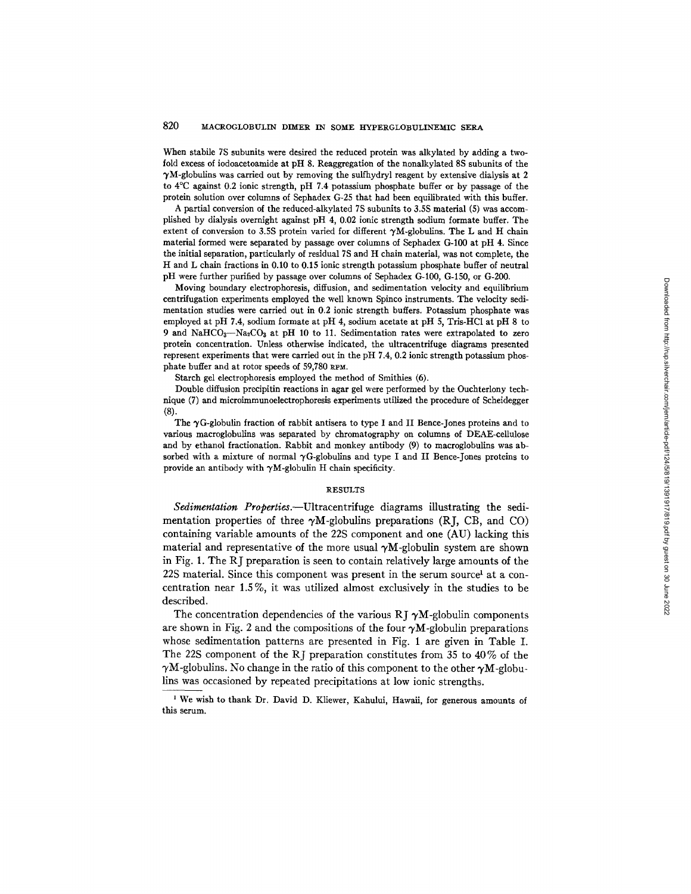## 820 MACROGLOBULIN DIMER IN SOME HYPERGLOBULINEMIC SERA

When stabile 7S subunits were desired the reduced protein was alkylated by adding a twofold excess of iodoacetoamide at pH 8. Reaggregation of the nonalkylated 8S subunits of the  $\gamma$ M-globulins was carried out by removing the sulfhydryl reagent by extensive dialysis at 2 to 4°C against 0.2 ionic strength, pH 7.4 potassium phosphate buffer or by passage of the protein solution over columns of Sephadex G-25 that had been equilibrated with this buffer.

A partial conversion of the reduced-alkylated 7S subunits to 3.5S material (5) was accomplished by dialysis overnight against pH 4, 0.02 ionic strength sodium formate buffer. The extent of conversion to 3.5S protein varied for different  $\gamma M$ -globulins. The L and H chain material formed were separated by passage over columns of Sephadex G-100 at pH 4. Since the initial separation, particularly of residual 7S and H chain material, was not complete, the H and L chain fractions in 0.10 to 0.15 ionic strength potassium phosphate buffer of neutral pH were further purified by passage over columns of Sephadex G-100, G-150, or G-200.

Moving boundary electrophoresis, diffusion, and sedimentation velocity and equilibrium centrifugation experiments employed the well known Spinco instruments. The velocity sedimentation studies were carried out in 0.2 ionic strength buffers. Potassium phosphate was employed at pH 7.4, sodium formate at pH 4, sodium acetate at pH 5, Tris-HC1 at pH 8 to 9 and NaHCO<sub>3</sub>--Na<sub>2</sub>CO<sub>3</sub> at pH 10 to 11. Sedimentation rates were extrapolated to zero protein concentration. Unless otherwise indicated, the ultracentrifuge diagrams presented represent experiments that were carried out in the pH 7.4, 0.2 ionic strength potassium phosphate buffer and at rotor speeds of  $59,780$  RPM.

Starch gel eleetrophoresis employed the method of Smithies (6).

Double diffusion precipitin reactions in agar gel were performed by the Ouchterlony technique (7) and microimmunoelectrophoresis experiments utilized the procedure of Scheidegger (8).

The  $\gamma$ G-globulin fraction of rabbit antisera to type I and II Bence-Jones proteins and to various macroglobuiins was separated by chromatography on columns of DEAE-cellulose and by ethanol fractionation. Rabbit and monkey antibody (9) to macroglobulins was absorbed with a mixture of normal  $\gamma$ G-globulins and type I and II Bence-Jones proteins to provide an antibody with  $\gamma M$ -globulin H chain specificity.

#### **RESULTS**

*Sedimentation Properties.--Ultracentrifuge* diagrams illustrating the sedimentation properties of three  $\gamma M$ -globulins preparations (RJ, CB, and CO) containing variable amounts of the 22S component and one (AU) lacking this material and representative of the more usual  $\gamma M$ -globulin system are shown in Fig. 1. The RJ preparation is seen to contain relatively large amounts of the  $22S$  material. Since this component was present in the serum source<sup>1</sup> at a concentration near 1.5 %, it was utilized almost exclusively in the studies to be described.

The concentration dependencies of the various RJ  $\gamma$ M-globulin components are shown in Fig. 2 and the compositions of the four  $\gamma M$ -globulin preparations whose sedimentation patterns are presented in Fig. 1 are given in Table I. The 22S component of the RJ preparation constitutes from 35 to 40% of the  $\gamma$ M-globulins. No change in the ratio of this component to the other  $\gamma$ M-globulins was occasioned by repeated precipitations at low ionic strengths.

<sup>&</sup>lt;sup>1</sup> We wish to thank Dr. David D. Kliewer, Kahului, Hawaii, for generous amounts of this serum.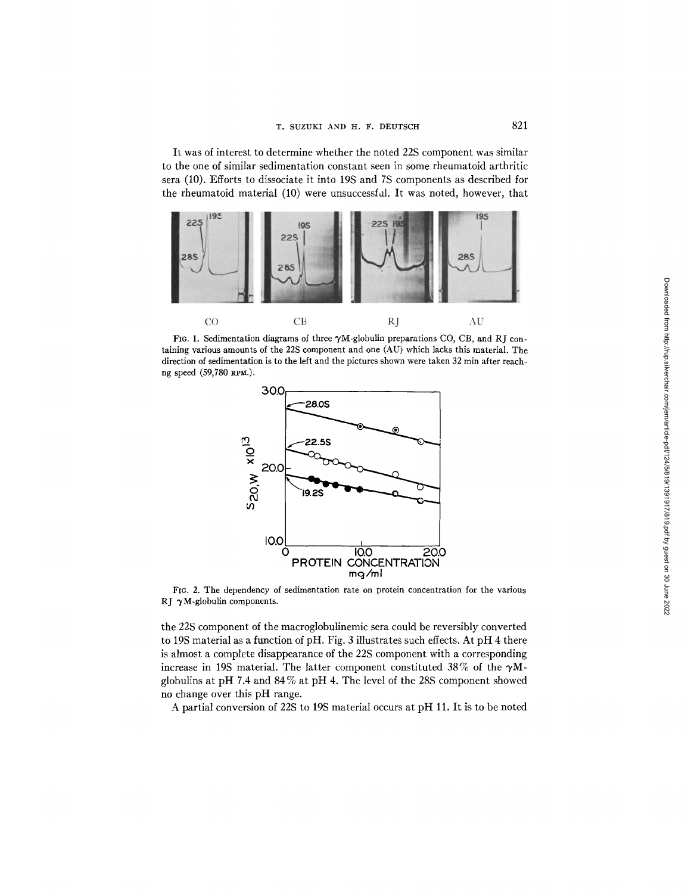It was of interest to determine whether the noted 22S component was similar to the one of similar sedimentation constant seen in some rheumatoid arthritic sera (10). Efforts to dissociate it into 19S and 7S components as described for the rheumatoid material (10) were unsuccessfal. It was noted, however, that



FIG. 1. Sedimentation diagrams of three  $\gamma$ M-globulin preparations CO, CB, and RJ containing various amounts of the 22S component and one (AU) which lacks this material. The direction of sedimentation is to the left and the pictures shown were taken 32 min after reachng speed (59,780 RPM.).



FIG. 2. The dependency of sedimentation rate on protein concentration for the various RJ  $\gamma$ M-globulin components.

the 22S component of the macroglobulinemic sera could be reversibly converted to 19S material as a function of pH. Fig. 3 illustrates such effects. At pH 4 there is almost a complete disappearance of the 22S component with a corresponding increase in 19S material. The latter component constituted 38% of the  $\gamma$ Mglobulins at pH 7.4 and 84 % at pH 4. The level of the 28S component showed no change over this pH range.

A partial conversion of 22S to 19S material occurs at pH 11. It is to be noted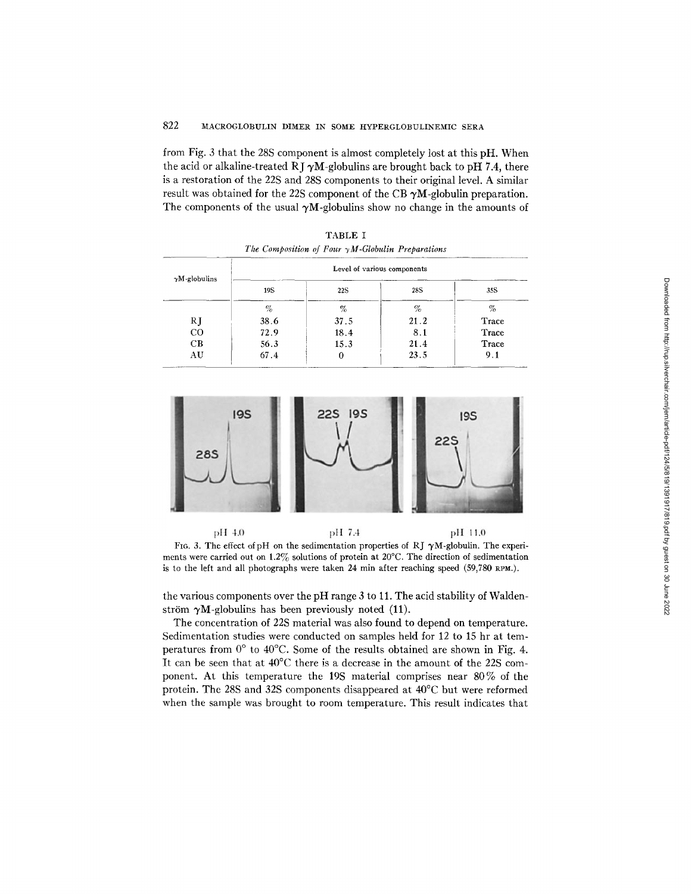# 822 MACROGLOBULIN DIMER IN SOME HYPERGLOBULINEMIC SERA

from Fig. 3 that the 28S component is almost completely lost at this pH. When the acid or alkaline-treated RJ  $\gamma$ M-globulins are brought back to pH 7.4, there is a restoration of the 22S and 28S components to their original level. A similar result was obtained for the 22S component of the CB  $\gamma M$ -globulin preparation. The components of the usual  $\gamma M$ -globulins show no change in the amounts of

TABLE I

| $\gamma$ M-globulins | Level of various components |            |      |       |  |  |  |
|----------------------|-----------------------------|------------|------|-------|--|--|--|
|                      | 19S                         | <b>22S</b> | 28S  | 35S   |  |  |  |
|                      | $\%$                        | $\%$       | %    | %     |  |  |  |
| RJ                   | 38.6                        | 37.5       | 21.2 | Trace |  |  |  |
| CO                   | 72.9                        | 18.4       | 8.1  | Trace |  |  |  |
| CВ                   | 56.3                        | 15.3       | 21.4 | Trace |  |  |  |
| AU                   | 67.4                        | 0          | 23.5 | 9.1   |  |  |  |



pH 4.0 pH 7.4 pH 11.0 FIG. 3. The effect of pH on the sedimentation properties of RJ  $\gamma$ M-globulin. The experiments were carried out on 1.2% solutions of protein at 20°C. The direction of sedimentation is to the left and all photographs were taken 24 min after reaching speed  $(59,780 \text{ RPM.})$ .

the various components over the pH range 3 to 11. The acid stability of Waldenström  $\gamma M$ -globulins has been previously noted (11).

The concentration of 22S material was also found to depend on temperature. Sedimentation studies were conducted on samples held for 12 to 15 hr at temperatures from  $0^{\circ}$  to 40°C. Some of the results obtained are shown in Fig. 4. It can be seen that at 40°C there is a decrease in the amount of the 22S component. At this temperature the 19S material comprises near 80% of the protein. The 28S and 32S components disappeared at 40°C but were reformed when the sample was brought to room temperature. This result indicates that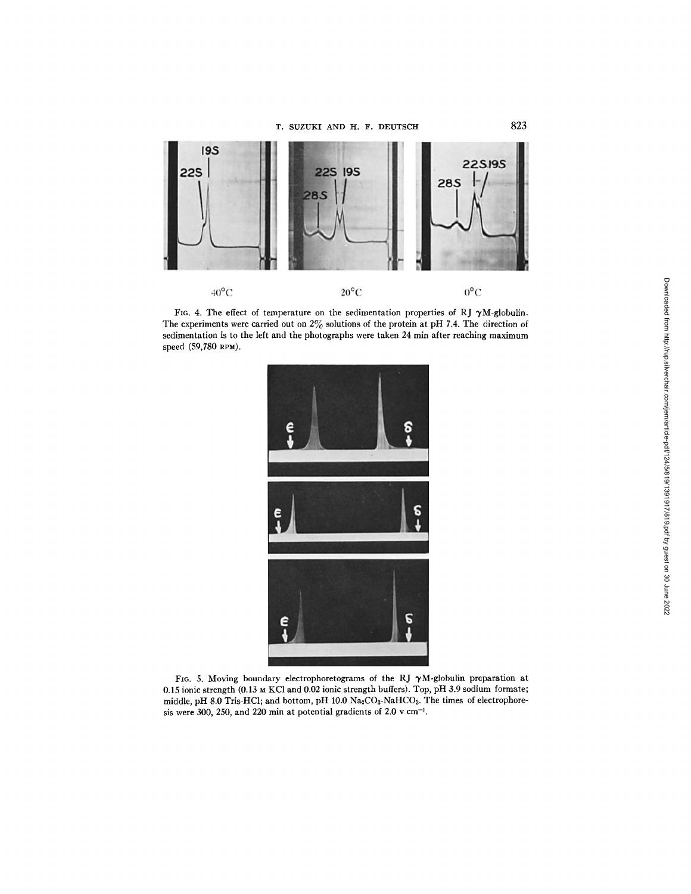T. SUZUKI AND H. F. DEUTSCH 823



FIG. 4. The effect of temperature on the sedimentation properties of RJ  $\gamma$ M-globulin. The experiments were carried out on  $2\%$  solutions of the protein at pH 7.4. The direction of sedimentation is to the left and the photographs were taken 24 min after reaching maximum speed (59,780 RPM).



FIG. 5. Moving boundary electrophoretograms of the RJ  $\gamma$ M-globulin preparation at 0.15 ionic strength (0.13 M KC1 and 0.02 ionic strength buffers). Top, pH 3.9 sodium formate; middle, pH 8.0 Tris-HCl; and bottom, pH 10.0 Na2CO3-NaHCO3. The times of electrophoresis were 300, 250, and 220 min at potential gradients of 2.0  $v$  cm<sup>-1</sup>.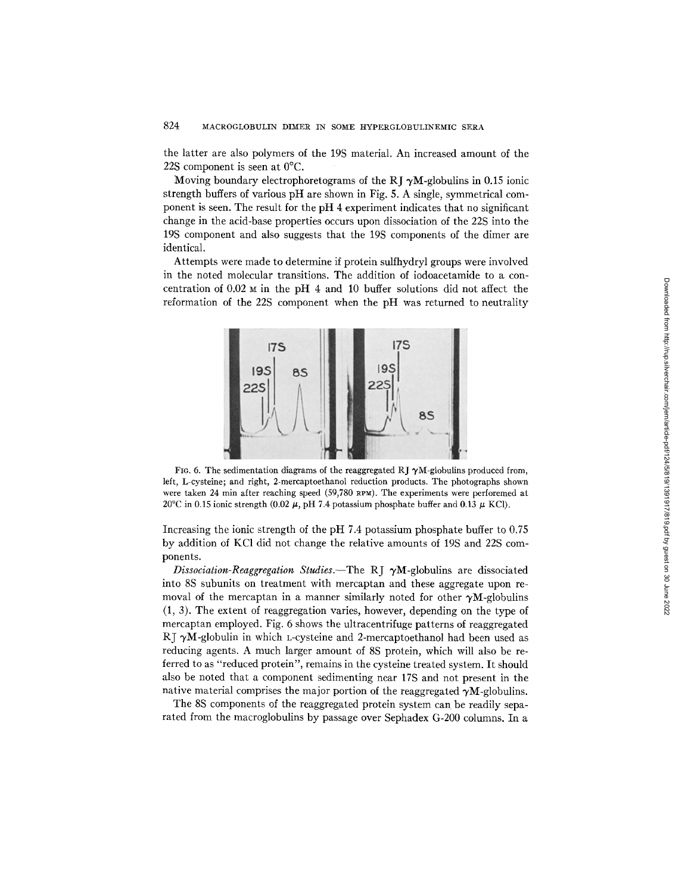the latter are also polymers of the 19S material. An increased amount of the 22S component is seen at 0°C.

Moving boundary electrophoretograms of the RJ  $\gamma$ M-globulins in 0.15 ionic strength buffers of various pH are shown in Fig. 5. A single, symmetrical component is seen. The result for the pH 4 experiment indicates that no significant change in the acid-base properties occurs upon dissociation of the 22S into the 19S component and also suggests that the 19S components of the dimer are identical.

Attempts were made to determine if protein sulfhydryl groups were involved in the noted molecular transitions. The addition of iodoacetamide to a concentration of 0.02 M in the pH 4 and 10 buffer solutions did not affect the reformation of the 22S component when the pH was returned to neutrality



FIG. 6. The sedimentation diagrams of the reaggregated RJ  $\gamma$ M-globulins produced from, left, L-cysteine; and right, 2-mercaptoethanol reduction products. The photographs shown were taken 24 min after reaching speed (59,780 RPM). The experiments were perforerned at 20°C in 0.15 ionic strength (0.02  $\mu$ , pH 7.4 potassium phosphate buffer and 0.13  $\mu$  KCI).

Increasing the ionic strength of the pH 7.4 potassium phosphate buffer to 0.75 by addition of KC1 did not change the relative amounts of 19S and 22S components.

*Dissociation-Reaggregation Studies.*-The RJ  $\gamma$ M-globulins are dissociated into 8S subunits on treatment with mercaptan and these aggregate upon removal of the mercaptan in a manner similarly noted for other  $\gamma M$ -globulins (1, 3). The extent of reaggregation varies, however, depending on the type of mercaptan employed. Fig. 6 shows the ultracentrifuge patterns of reaggregated RJ  $\gamma$ M-globulin in which L-cysteine and 2-mercaptoethanol had been used as reducing agents. A much larger amount of 8S protein, which will also be referred to as "reduced protein", remains in the cysteine treated system. It should also be noted that a component sedimenting near 17S and not present in the native material comprises the major portion of the reaggregated  $\gamma M$ -globulins.

The 8S components of the reaggregated protein system can be readily separated from the macroglobulins by passage over Sephadex G-200 columns. In a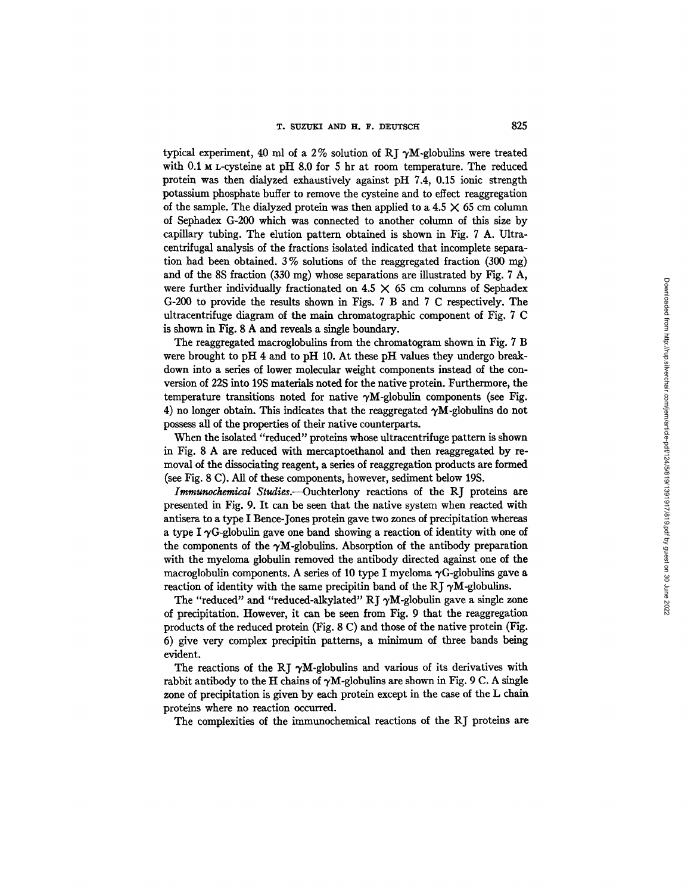typical experiment, 40 ml of a 2% solution of RJ  $\gamma M$ -globulins were treated with  $0.1$  M L-cysteine at pH 8.0 for 5 hr at room temperature. The reduced protein was then dialyzed exhaustively against pH 7.4, 0.15 ionic strength potassium phosphate buffer to remove the cysteine and to effect reaggregation of the sample. The dialyzed protein was then applied to a  $4.5 \times 65$  cm column of Sephadex G-200 which was connected to another column of this size by capillary tubing. The elution pattern obtained is shown in Fig. 7 A. Ultracentrifugal analysis of the fractions isolated indicated that incomplete separation had been obtained.  $3\%$  solutions of the reaggregated fraction (300 mg) and of the 8S fraction (330 mg) whose separations are illustrated by Fig. 7 A, were further individually fractionated on  $4.5 \times 65$  cm columns of Sephadex G-200 to provide the results shown in Figs. 7 B and 7 C respectively. The ultracentrifuge diagram of the main chromatographic component of Fig. 7 C is shown in Fig. 8 A and reveals a single boundary.

The reaggregated macroglobulins from the chromatogram shown in Fig. 7 B were brought to pH 4 and to pH 10. At these pH values they undergo breakdown into a series of lower molecular weight components instead of the conversion of 22S into 19S materials noted for the native protein. Furthermore, the temperature transitions noted for native  $\gamma M$ -globulin components (see Fig. 4) no longer obtain. This indicates that the reaggregated  $\gamma M$ -globulins do not possess all of the properties of their native counterparts.

When the isolated "reduced" proteins whose ultracentrifuge pattern is shown in Fig. 8 A are reduced with mercaptoethanol and then reaggregated by removal of the dissociating reagent, a series of reaggregation products are formed (see Fig. 8 C). All of these components, however, sediment below 19S.

*Immunochemical Studies.--Ouchterlony* reactions of the RJ proteins are presented in Fig. 9. It can be seen that the native system when reacted with antisera to a type I Bence-Jones protein gave two zones of precipitation whereas a type I  $\gamma$ G-globulin gave one band showing a reaction of identity with one of the components of the  $\gamma M$ -globulins. Absorption of the antibody preparation with the myeloma globulin removed the antibody directed against one of the macroglobulin components. A series of 10 type I myeloma  $\gamma$ G-globulins gave a reaction of identity with the same precipitin band of the RJ  $\gamma$ M-globulins.

The "reduced" and "reduced-alkylated" RJ  $\gamma M$ -globulin gave a single zone of precipitation. However, it can be seen from Fig. 9 that the reaggregatlon products of the reduced protein (Fig. 8 C) and those of the native protein (Fig. 6) give very complex precipitin patterns, a minimum of three bands being evident.

The reactions of the RI  $\gamma M$ -globulins and various of its derivatives with rabbit antibody to the H chains of  $\gamma M$ -globulins are shown in Fig. 9 C. A single zone of precipitation is given by each protein except in the case of the L chain proteins where no reaction occurred.

The complexities of the immunochemical reactions of the RJ proteins are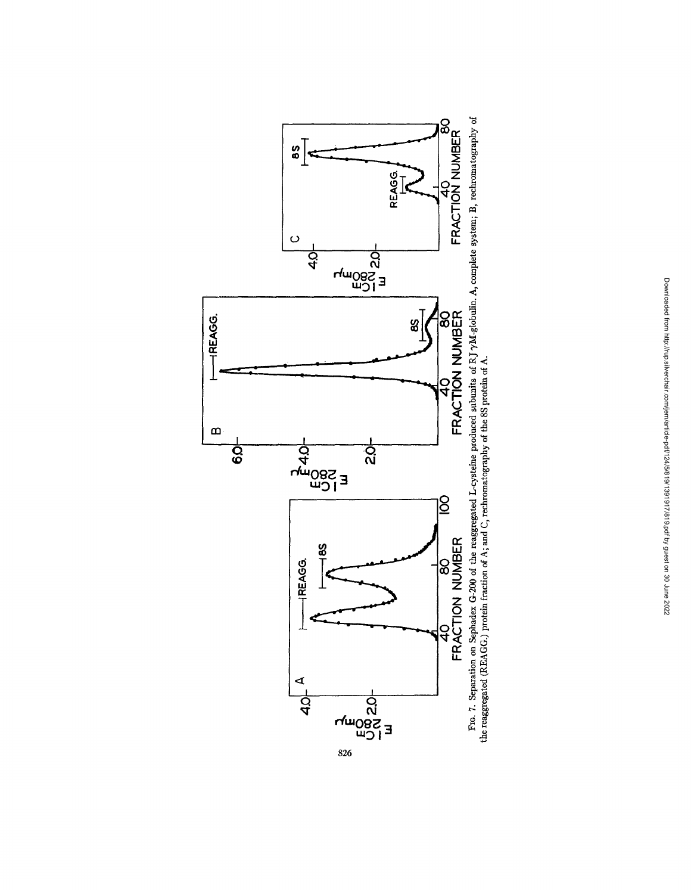

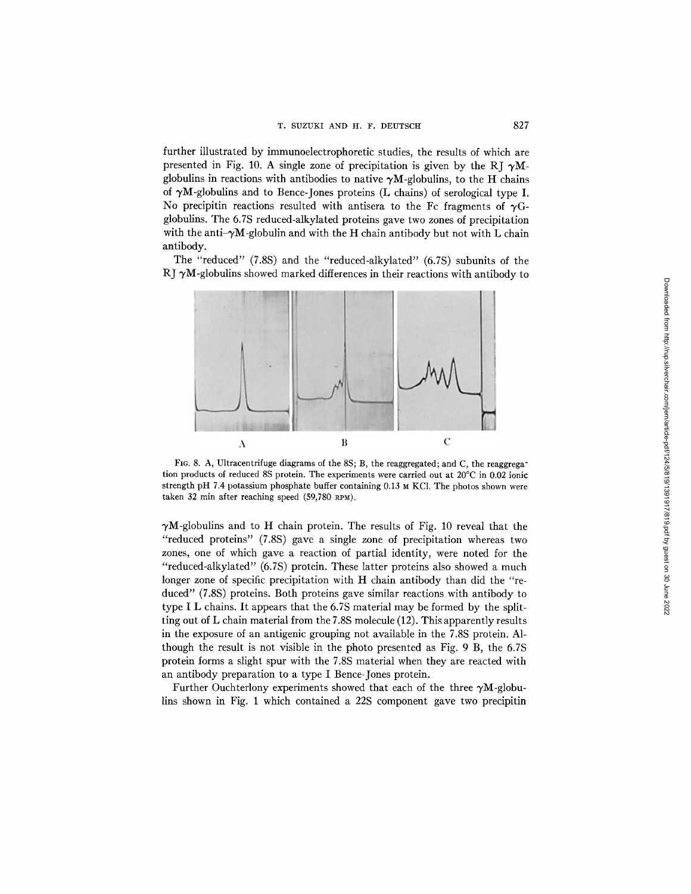further illustrated by immunoelectrophoretic studies, the results of which are presented in Fig. 10. A single zone of precipitation is given by the RJ  $\gamma$ Mglobulins in reactions with antibodies to native  $\gamma M$ -globulins, to the H chains of  $\gamma M$ -globulins and to Bence-Jones proteins (L chains) of serological type I. No precipitin reactions resulted with antisera to the Fc fragments of  $\gamma G$ globulins. The 6.7S reduced-alkylated proteins gave two zones of precipitation with the anti- $\gamma M$ -globulin and with the H chain antibody but not with L chain antibody.

The "reduced" (7.8S) and the "reduced-alkylated" (6.7S) subunits of the RJ  $\gamma$ M-globulins showed marked differences in their reactions with antibody to



FIG. 8. A, Ultracentrifuge diagrams of the 8S; B, the reaggregated; and C, the reaggregation products of reduced 8S protein. The experiments were carried out at 20°C in 0.02 ionic strength pH 7.4 potassium phosphate buffer containing 0.13 M KC1. The photos shown were taken 32 min after reaching speed (59,780 RPM).

 $\gamma$ M-globulins and to H chain protein. The results of Fig. 10 reveal that the "reduced proteins" (7.8S) gave a single zone of precipitation whereas two zones, one of which gave a reaction of partial identity, were noted for the "reduced-alkylated" (6.7S) protein. These latter proteins also showed a much longer zone of specific precipitation with H chain antibody than did the "reduced" (7.8S) proteins. Both proteins gave similar reactions with antibody to type I L chains. It appears that the 6.7S material may be formed by the splitting out of L chain material from the 7.8S molecule (12). This apparently results in the exposure of an antigenic grouping not available in the 7.8S protein. Although the result is not visible in the photo presented as Fig. 9 B, the 6.7S protein forms a slight spur with the 7.8S material when they are reacted with an antibody preparation to a type I Bence-Jones protein.

Further Ouchterlony experiments showed that each of the three  $\gamma M$ -globulins shown in Fig. 1 which contained a 22S component gave two precipitin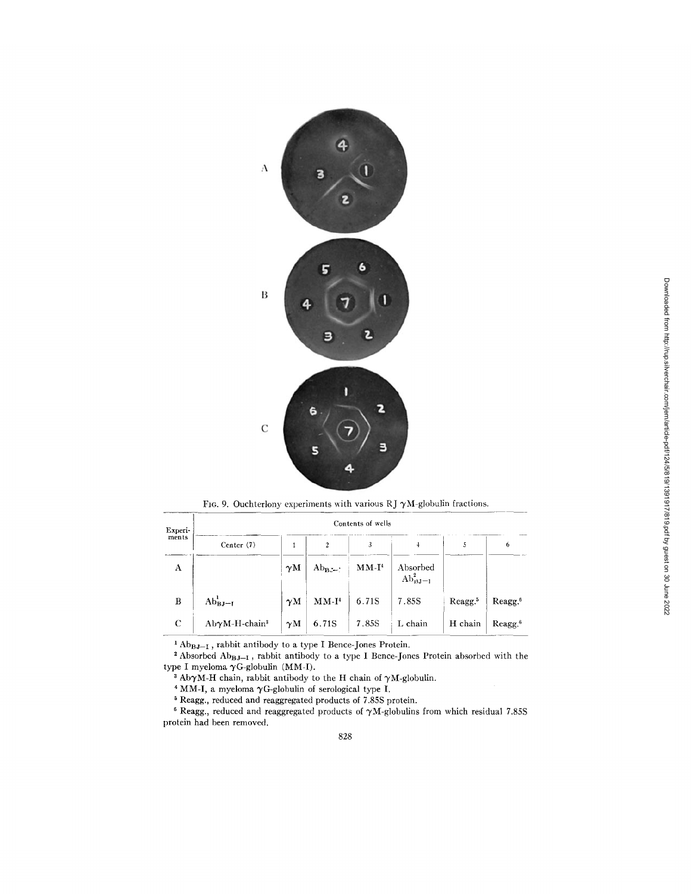

F16. 9. Ouchterlony experiments with various RJ  $\gamma$ M-globulin fractions.

| Experi-<br>ments | Contents of wells         |            |                |         |                           |                     |                     |  |  |  |  |
|------------------|---------------------------|------------|----------------|---------|---------------------------|---------------------|---------------------|--|--|--|--|
|                  | Center (7)                |            | $\overline{c}$ | 3       | 4                         |                     | 0                   |  |  |  |  |
| A                |                           | $\gamma$ M | $Ab_{BZ}$ :    | $MM-I4$ | Absorbed<br>$Ab_{BJ-1}^2$ |                     |                     |  |  |  |  |
| B                | $Ab_{BJ-I}^1$             | $\gamma$ M | $MM-I4$        | 6.71S   | 7.85S                     | Reagg. <sup>5</sup> | Reagg. <sup>6</sup> |  |  |  |  |
| С                | AbγM-H-chain <sup>3</sup> | $\gamma$ M | 6.71S          | 7.85S   | L chain                   | H chain             | Reagg. <sup>6</sup> |  |  |  |  |

 $^{1}$  Ab $_{B,J-I}$ , rabbit antibody to a type I Bence-Jones Protein.

<sup>2</sup> Absorbed Ab $_{B,J-1}$ , rabbit antibody to a type I Bence-Jones Protein absorbed with the type I myeloma  $\gamma$ G-globulin (MM-I).

<sup>3</sup> Ab $\gamma$ M-H chain, rabbit antibody to the H chain of  $\gamma$ M-globulin.

 $4$  MM-I, a myeloma  $\gamma$ G-globulin of serological type I.

Reagg., reduced and reaggregated products of 7.85S protein.

<sup>6</sup> Reagg., reduced and reaggregated products of  $\gamma$ M-globulins from which residual 7.85S protein had been removed.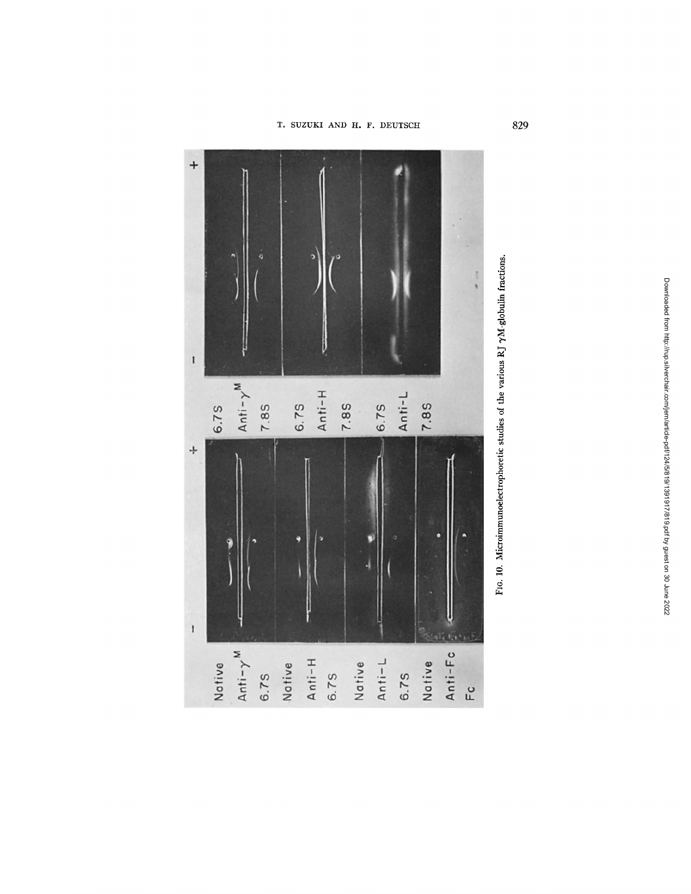



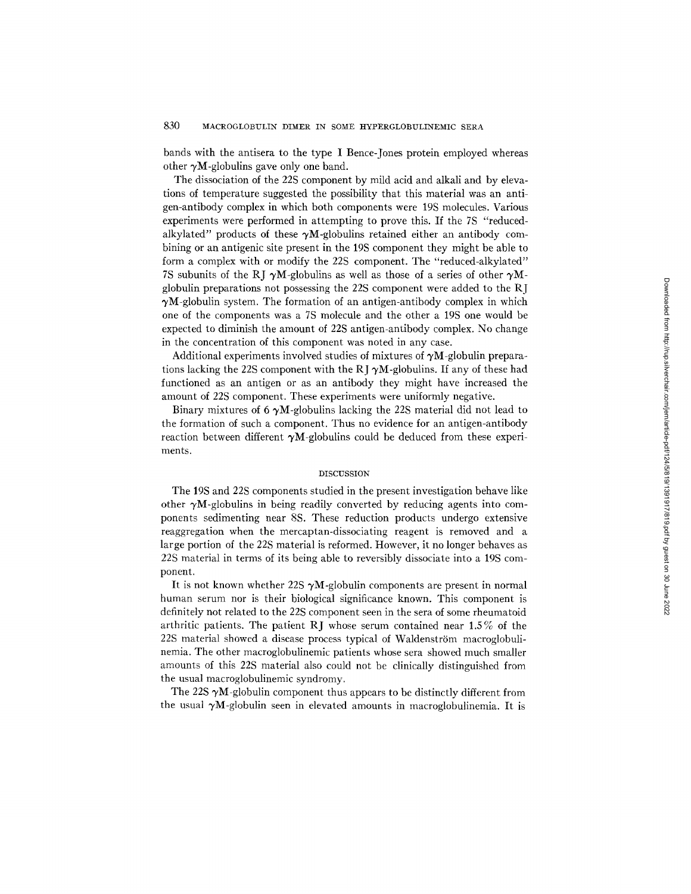bands with the antisera to the type I Bence-Jones protein employed whereas other  $\gamma M$ -globulins gave only one band.

The dissociation of the 22S component by mild acid and alkali and by elevations of temperature suggested the possibility that this material was an antigen-antibody complex in which both components were 19S molecules. Various experiments were performed in attempting to prove this. If the 7S "reducedalkylated" products of these  $\gamma M$ -globulins retained either an antibody combining or an antigenic site present in the 19S component they might be able to form a complex with or modify the 22S component. The "reduced-alkylated" 7S subunits of the RJ  $\gamma$ M-globulins as well as those of a series of other  $\gamma$ Mglobulin preparations not possessing the 22S component were added to the RJ  $\gamma$ M-globulin system. The formation of an antigen-antibody complex in which one of the components was a 7S molecule and the other a 19S one would be expected to diminish the amount of 22S antigen-antibody complex. No change in the concentration of this component was noted in any case.

Additional experiments involved studies of mixtures of  $\gamma M$ -globulin preparations lacking the 22S component with the RJ  $\gamma$ M-globulins. If any of these had functioned as an antigen or as an antibody they might have increased the amount of 22S component. These experiments were uniformly negative.

Binary mixtures of 6  $\gamma$ M-globulins lacking the 22S material did not lead to the formation of such a component. Thus no evidence for an antigen-antibody reaction between different  $\gamma M$ -globulins could be deduced from these experiments.

#### DISCUSSION

The 19S and 22S components studied in the present investigation behave like other  $\gamma$ M-globulins in being readily converted by reducing agents into components sedimenting near 8S. These reduction products undergo extensive reaggregation when the mercaptan-dissociating reagent is removed and a large portion of the 22S material is reformed. However, it no longer behaves as 22S material in terms of its being able to reversibly dissociate into a 19S component.

It is not known whether 22S  $\gamma$ M-globulin components are present in normal human serum nor is their biological significance known. This component is definitely not related to the 22S component seen in the sera of some rheumatoid arthritic patients. The patient RJ whose serum contained near 1.5% of the 22S material showed a disease process typical of Waldenström macroglobulinemia. The other macroglobulinemic patients whose sera showed much smaller amounts of this 22S material also could not be clinically distinguished from the usual macroglobulinemic syndromy.

The 22S  $\gamma$ M-globulin component thus appears to be distinctly different from the usual  $\gamma M$ -globulin seen in elevated amounts in macroglobulinemia. It is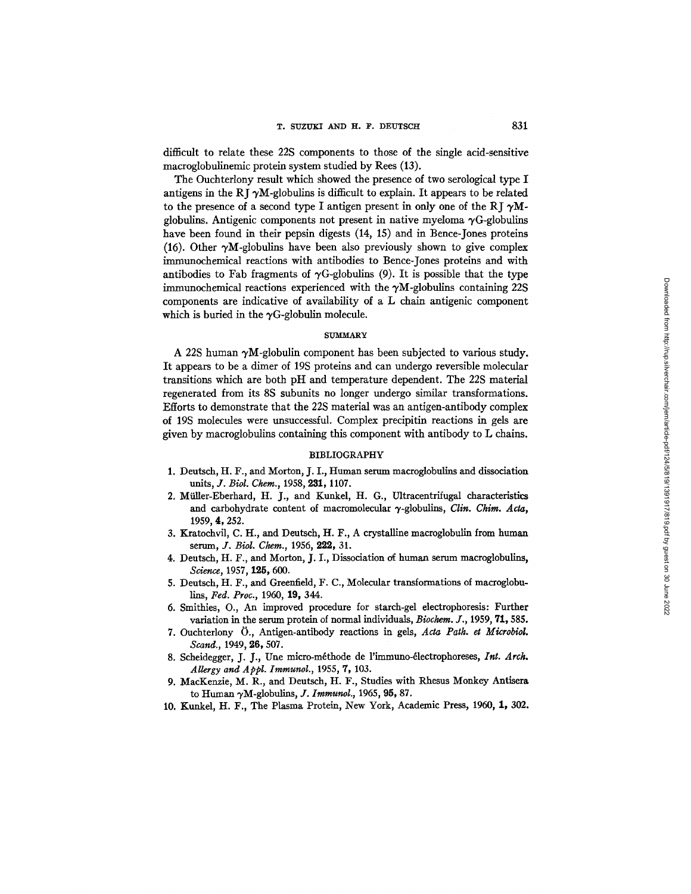difficult to relate these 22S components to those of the single acid-sensitive macroglobulinemic protein system studied by Rees (13).

The Ouchterlony result which showed the presence of two serological type I antigens in the RJ  $\gamma$ M-globulins is difficult to explain. It appears to be related to the presence of a second type I antigen present in only one of the RI  $\gamma$ Mglobulins. Antigenic components not present in native myeloma  $\gamma$ G-globulins have been found in their pepsin digests (14, 15) and in Bence-Jones proteins (16). Other  $\gamma M$ -globulins have been also previously shown to give complex immunochemical reactions with antibodies to Bence-Jones proteins and with antibodies to Fab fragments of  $\gamma$ G-globulins (9). It is possible that the type immunochemical reactions experienced with the  $\gamma$ M-globulins containing 22S components are indicative of availability of a L chain antigenic component which is buried in the  $\gamma$ G-globulin molecule.

## SUMMARY

A 22S human  $\gamma$ M-globulin component has been subjected to various study. It appears to be a dimer of 19S proteins and can undergo reversible molecular transitions which are both pH and temperature dependent. The 22S material regenerated from its 8S subunits no longer undergo similar transformations. Efforts to demonstrate that the 22S material was an antigen-antibody complex of 19S molecules were unsuccessful. Complex precipitin reactions in gels are given by macroglobulins containing this component with antibody to L chains.

#### BIBLIOGRAPHY

- 1. Deutsch, H. F., and Morton, J. I., Human serum macroglobulins and dissociation units, *Y. Biol. Chem.,* 1958, 231, 1107.
- 2. Müller-Eberhard, H. J., and Kunkel, H. G., Ultracentrifugal characteristics and carbohydrate content of macromolecular  $\gamma$ -globulins, *Clin. Chim. Acta*, 1959, 4, 252.
- 3. Kratochvil, C. H., and Deutsch, H. F., A crystalline macroglobulin from human serum, *J. Biol. Chem.,* 1956, 222, 31.
- 4. Deutsch, H. F., and Morton, J. I., Dissociation of human serum macroglobulins, *Science,* 1957, 125, 600.
- 5. Deutsch, H. F., and Greenfield, F. C., Molecular transformations of macroglobu*lins, Fed. Proc.,* 1960, 19, 344.
- 6. Smithies, O., An improved procedure for starch-gel eleetrophoresis: Further variation in the serum protein of normal individuals, *Biochem. J.,* 1959, 71,585.
- 7. Ouchterlony 0., Antigen-antibody reactions in gels, *Acta Path. et MicrobioL*  Scand., 1949, 26, 507.
- 8. Scheidegger, J. J., Une micro-méthode de l'immuno-électrophoreses, Int. Arch. *Allergy and Appl. Immunol.,* 1955, 7, 103.
- 9. MacKenzie, M. R., and Deutsch, H. F., Studies with Rhesus Monkey Anfisera to Human ~,M-globulins, *J. Immunol.,* 1965, 95, 87.
- 10. Kunkel, H. F., The Plasma Protein, New York, Academic Press, 1960, 1, 302.